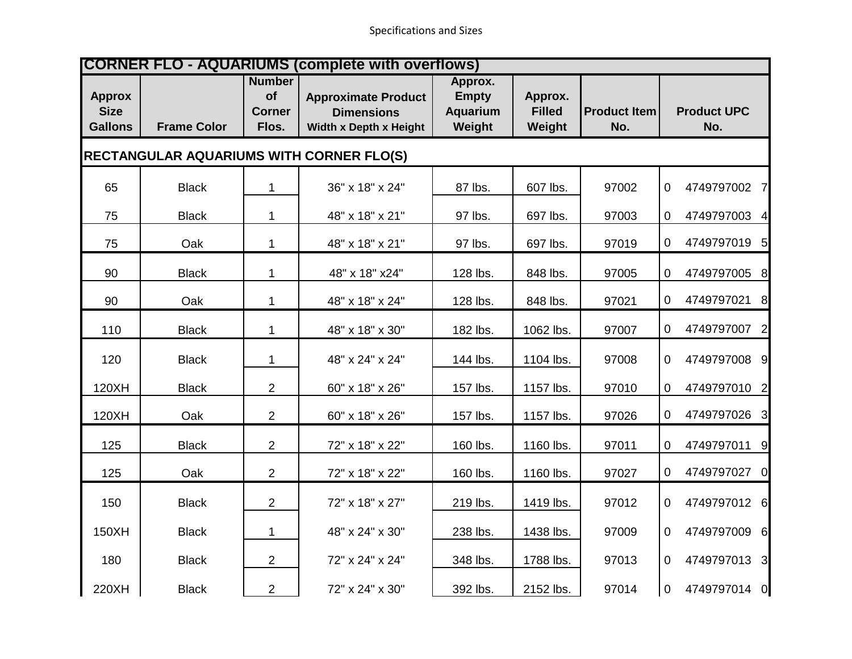| <b>CORNER FLO - AQUARIUMS (complete with overflows)</b> |                    |                                               |                                                                           |                                               |                                    |                            |                                   |  |
|---------------------------------------------------------|--------------------|-----------------------------------------------|---------------------------------------------------------------------------|-----------------------------------------------|------------------------------------|----------------------------|-----------------------------------|--|
| <b>Approx</b><br><b>Size</b><br><b>Gallons</b>          | <b>Frame Color</b> | <b>Number</b><br>of<br><b>Corner</b><br>Flos. | <b>Approximate Product</b><br><b>Dimensions</b><br>Width x Depth x Height | Approx.<br><b>Empty</b><br>Aquarium<br>Weight | Approx.<br><b>Filled</b><br>Weight | <b>Product Item</b><br>No. | <b>Product UPC</b><br>No.         |  |
| <b>RECTANGULAR AQUARIUMS WITH CORNER FLO(S)</b>         |                    |                                               |                                                                           |                                               |                                    |                            |                                   |  |
| 65                                                      | <b>Black</b>       | $\mathbf 1$                                   | 36" x 18" x 24"                                                           | 87 lbs.                                       | 607 lbs.                           | 97002                      | 4749797002 7<br>0                 |  |
| 75                                                      | <b>Black</b>       | $\mathbf 1$                                   | 48" x 18" x 21"                                                           | 97 lbs.                                       | 697 lbs.                           | 97003                      | 4749797003 4<br>0                 |  |
| 75                                                      | Oak                | $\mathbf 1$                                   | 48" x 18" x 21"                                                           | 97 lbs.                                       | 697 lbs.                           | 97019                      | 4749797019 5<br>0                 |  |
| 90                                                      | <b>Black</b>       | $\mathbf 1$                                   | 48" x 18" x24"                                                            | 128 lbs.                                      | 848 lbs.                           | 97005                      | 4749797005 8<br>0                 |  |
| 90                                                      | Oak                | $\mathbf{1}$                                  | 48" x 18" x 24"                                                           | 128 lbs.                                      | 848 lbs.                           | 97021                      | 4749797021<br>$\overline{0}$<br>8 |  |
| 110                                                     | <b>Black</b>       | $\mathbf{1}$                                  | 48" x 18" x 30"                                                           | 182 lbs.                                      | 1062 lbs.                          | 97007                      | 4749797007<br>0<br>2              |  |
| 120                                                     | <b>Black</b>       | 1                                             | 48" x 24" x 24"                                                           | 144 lbs.                                      | 1104 lbs.                          | 97008                      | 4749797008 9<br>0                 |  |
| 120XH                                                   | <b>Black</b>       | $\overline{2}$                                | 60" x 18" x 26"                                                           | 157 lbs.                                      | 1157 lbs.                          | 97010                      | 4749797010 2<br>0                 |  |
| 120XH                                                   | Oak                | $\overline{2}$                                | 60" x 18" x 26"                                                           | 157 lbs.                                      | 1157 lbs.                          | 97026                      | 4749797026 3<br>0                 |  |
| 125                                                     | <b>Black</b>       | $\overline{2}$                                | 72" x 18" x 22"                                                           | 160 lbs.                                      | 1160 lbs.                          | 97011                      | 4749797011<br>9<br>0              |  |
| 125                                                     | Oak                | 2                                             | 72" x 18" x 22"                                                           | 160 lbs.                                      | 1160 lbs.                          | 97027                      | 4749797027 0<br>0                 |  |
| 150                                                     | <b>Black</b>       | $\overline{2}$                                | 72" x 18" x 27"                                                           | 219 lbs.                                      | 1419 lbs.                          | 97012                      | 4749797012 6<br>$\overline{0}$    |  |
| 150XH                                                   | <b>Black</b>       | $\mathbf 1$                                   | 48" x 24" x 30"                                                           | 238 lbs.                                      | 1438 lbs.                          | 97009                      | 4749797009 6<br>$\overline{0}$    |  |
| 180                                                     | <b>Black</b>       | $\overline{2}$                                | 72" x 24" x 24"                                                           | 348 lbs.                                      | 1788 lbs.                          | 97013                      | 4749797013 3<br>0                 |  |
| 220XH                                                   | <b>Black</b>       | $\overline{c}$                                | 72" x 24" x 30"                                                           | 392 lbs.                                      | 2152 lbs.                          | 97014                      | 4749797014 0<br>$\mathbf 0$       |  |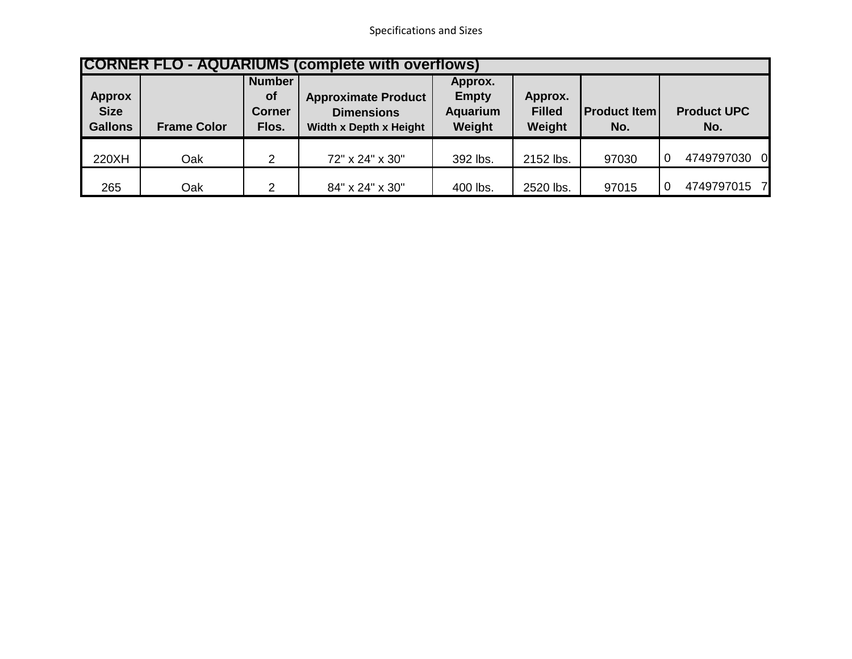Specifications and Sizes

| <b>CORNER FLO - AQUARIUMS (complete with overflows)</b> |                    |                                                      |                                                                           |                                               |                                    |                            |                           |  |
|---------------------------------------------------------|--------------------|------------------------------------------------------|---------------------------------------------------------------------------|-----------------------------------------------|------------------------------------|----------------------------|---------------------------|--|
| <b>Approx</b><br><b>Size</b><br><b>Gallons</b>          | <b>Frame Color</b> | <b>Number</b><br><b>of</b><br><b>Corner</b><br>Flos. | <b>Approximate Product</b><br><b>Dimensions</b><br>Width x Depth x Height | Approx.<br><b>Empty</b><br>Aquarium<br>Weight | Approx.<br><b>Filled</b><br>Weight | <b>Product Item</b><br>No. | <b>Product UPC</b><br>No. |  |
| 220XH                                                   | Oak                | 2                                                    | 72" x 24" x 30"                                                           | 392 lbs.                                      | 2152 lbs.                          | 97030                      | 4749797030<br>- Ol        |  |
| 265                                                     | Oak                | ົ                                                    | 84" x 24" x 30"                                                           | 400 lbs.                                      | 2520 lbs.                          | 97015                      | 4749797015 7              |  |